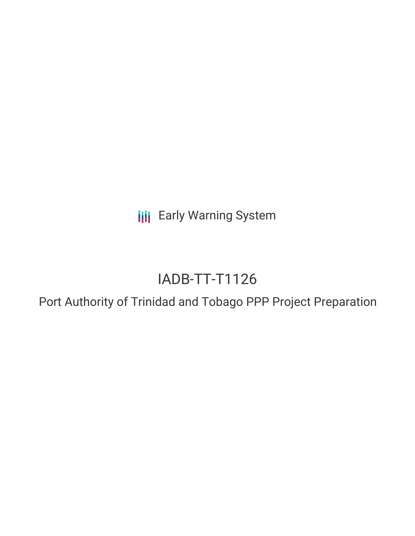**III** Early Warning System

# IADB-TT-T1126

Port Authority of Trinidad and Tobago PPP Project Preparation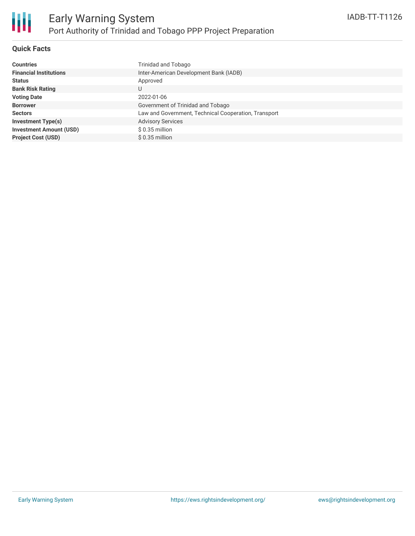

## **Quick Facts**

| <b>Countries</b>               | Trinidad and Tobago                                  |
|--------------------------------|------------------------------------------------------|
| <b>Financial Institutions</b>  | Inter-American Development Bank (IADB)               |
|                                |                                                      |
| <b>Status</b>                  | Approved                                             |
| <b>Bank Risk Rating</b>        | U                                                    |
| <b>Voting Date</b>             | 2022-01-06                                           |
| <b>Borrower</b>                | Government of Trinidad and Tobago                    |
| <b>Sectors</b>                 | Law and Government, Technical Cooperation, Transport |
| <b>Investment Type(s)</b>      | <b>Advisory Services</b>                             |
| <b>Investment Amount (USD)</b> | $$0.35$ million                                      |
| <b>Project Cost (USD)</b>      | $$0.35$ million                                      |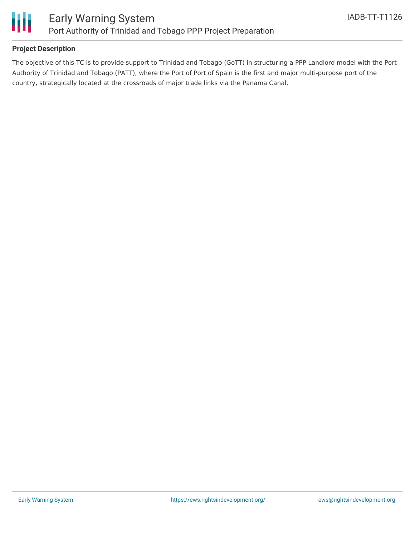

## **Project Description**

The objective of this TC is to provide support to Trinidad and Tobago (GoTT) in structuring a PPP Landlord model with the Port Authority of Trinidad and Tobago (PATT), where the Port of Port of Spain is the first and major multi-purpose port of the country, strategically located at the crossroads of major trade links via the Panama Canal.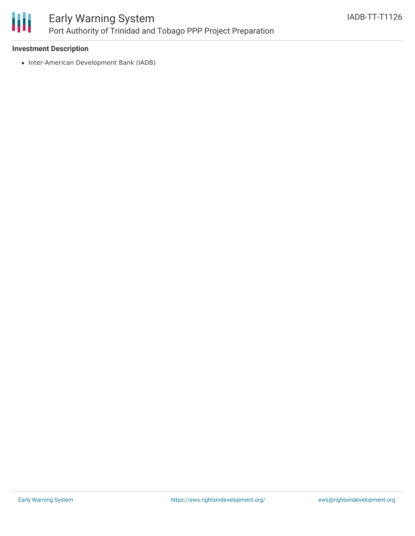

### **Investment Description**

• Inter-American Development Bank (IADB)